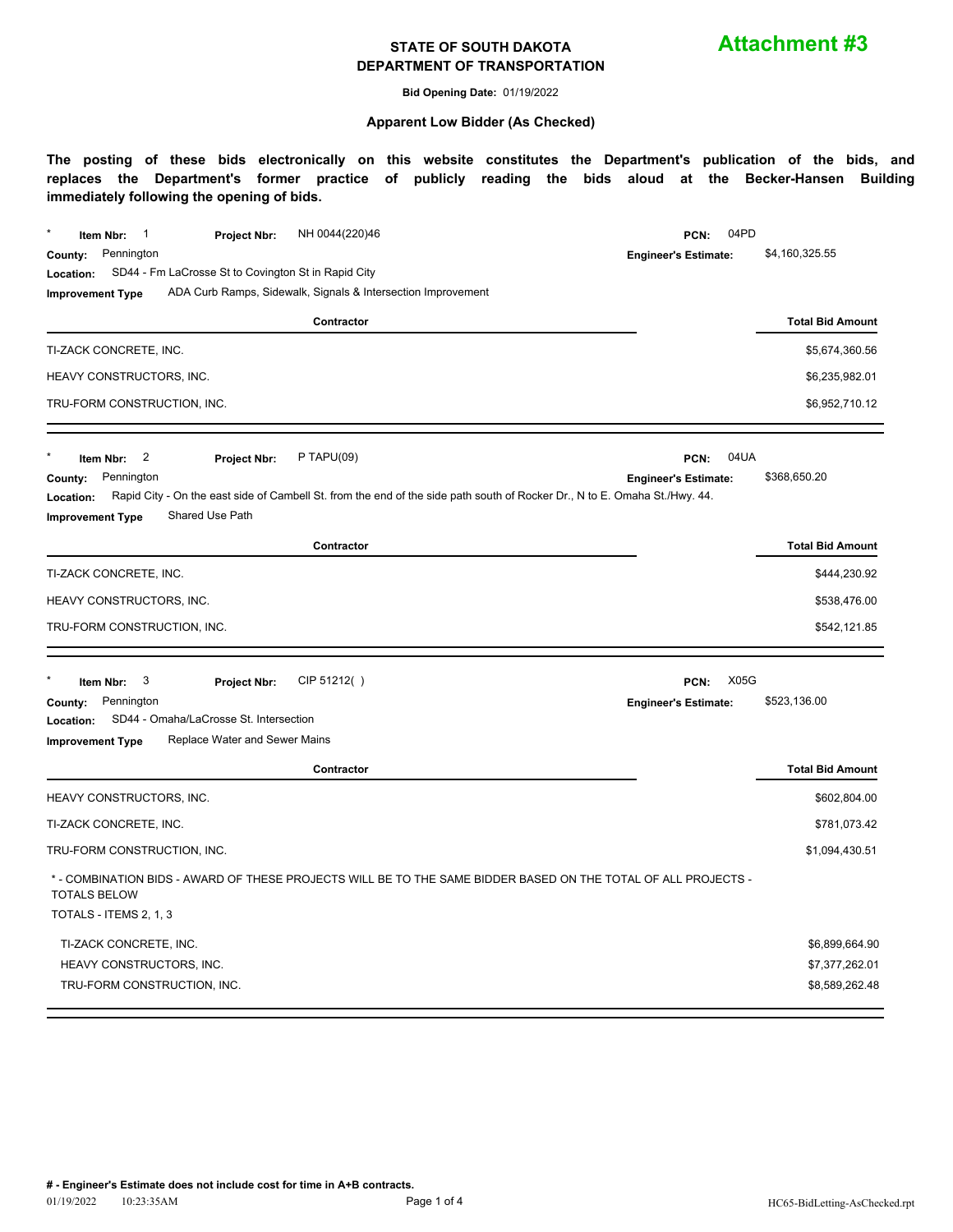**Attachment #3**

**Bid Opening Date:** 01/19/2022

#### **Apparent Low Bidder (As Checked)**

| NH 0044(220)46<br>Item Nbr:<br>$\overline{\phantom{1}}$<br><b>Project Nbr:</b>                                                                                  | 04PD<br>PCN:                        |                         |
|-----------------------------------------------------------------------------------------------------------------------------------------------------------------|-------------------------------------|-------------------------|
| Pennington<br>County:                                                                                                                                           | <b>Engineer's Estimate:</b>         | \$4,160,325.55          |
| SD44 - Fm LaCrosse St to Covington St in Rapid City<br>Location:                                                                                                |                                     |                         |
| ADA Curb Ramps, Sidewalk, Signals & Intersection Improvement<br><b>Improvement Type</b>                                                                         |                                     |                         |
| Contractor                                                                                                                                                      |                                     | <b>Total Bid Amount</b> |
| TI-ZACK CONCRETE, INC.                                                                                                                                          |                                     | \$5,674,360.56          |
| HEAVY CONSTRUCTORS, INC.                                                                                                                                        |                                     | \$6,235,982.01          |
| TRU-FORM CONSTRUCTION, INC.                                                                                                                                     |                                     | \$6,952,710.12          |
| $P$ TAPU(09)<br>2<br>Item Nbr:<br><b>Project Nbr:</b>                                                                                                           | 04UA<br>PCN:                        |                         |
| Pennington<br>County:                                                                                                                                           | <b>Engineer's Estimate:</b>         | \$368,650.20            |
| Rapid City - On the east side of Cambell St. from the end of the side path south of Rocker Dr., N to E. Omaha St./Hwy. 44.<br>Location:                         |                                     |                         |
| Shared Use Path<br><b>Improvement Type</b>                                                                                                                      |                                     |                         |
| Contractor                                                                                                                                                      |                                     | <b>Total Bid Amount</b> |
| TI-ZACK CONCRETE, INC.                                                                                                                                          |                                     | \$444,230.92            |
| HEAVY CONSTRUCTORS, INC.                                                                                                                                        |                                     | \$538,476.00            |
| TRU-FORM CONSTRUCTION, INC.                                                                                                                                     |                                     | \$542,121.85            |
| CIP 51212()                                                                                                                                                     | <b>X05G</b>                         |                         |
| 3<br>Item Nbr:<br>Project Nbr:<br>Pennington<br>County:                                                                                                         | PCN:<br><b>Engineer's Estimate:</b> | \$523,136.00            |
| SD44 - Omaha/LaCrosse St. Intersection<br>Location:                                                                                                             |                                     |                         |
| Replace Water and Sewer Mains<br><b>Improvement Type</b>                                                                                                        |                                     |                         |
| Contractor                                                                                                                                                      |                                     | <b>Total Bid Amount</b> |
| HEAVY CONSTRUCTORS, INC.                                                                                                                                        |                                     | \$602,804.00            |
| TI-ZACK CONCRETE, INC.                                                                                                                                          |                                     | \$781,073.42            |
| TRU-FORM CONSTRUCTION, INC.                                                                                                                                     |                                     | \$1,094,430.51          |
| * - COMBINATION BIDS - AWARD OF THESE PROJECTS WILL BE TO THE SAME BIDDER BASED ON THE TOTAL OF ALL PROJECTS -<br><b>TOTALS BELOW</b><br>TOTALS - ITEMS 2, 1, 3 |                                     |                         |
| TI-ZACK CONCRETE, INC.                                                                                                                                          |                                     | \$6,899,664.90          |
| HEAVY CONSTRUCTORS, INC.                                                                                                                                        |                                     | \$7,377,262.01          |
| TRU-FORM CONSTRUCTION, INC.                                                                                                                                     |                                     | \$8,589,262.48          |
|                                                                                                                                                                 |                                     |                         |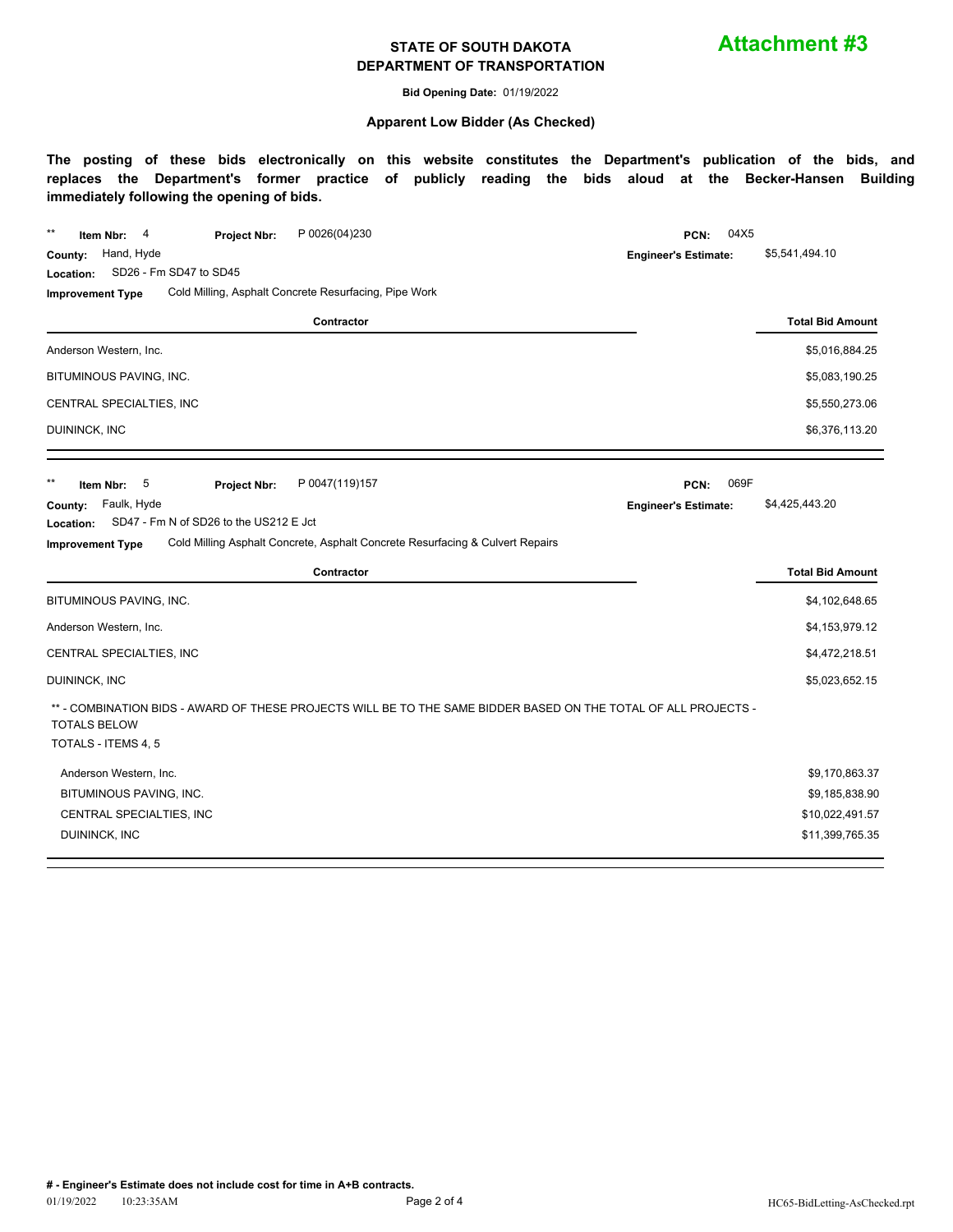**Attachment #3**

**Bid Opening Date:** 01/19/2022

#### **Apparent Low Bidder (As Checked)**

| Hand, Hyde<br>County:<br><b>Engineer's Estimate:</b><br>SD26 - Fm SD47 to SD45<br>Location:<br>Cold Milling, Asphalt Concrete Resurfacing, Pipe Work<br><b>Improvement Type</b> | 04X5                    |
|---------------------------------------------------------------------------------------------------------------------------------------------------------------------------------|-------------------------|
|                                                                                                                                                                                 | \$5,541,494.10          |
|                                                                                                                                                                                 |                         |
|                                                                                                                                                                                 |                         |
| Contractor                                                                                                                                                                      | <b>Total Bid Amount</b> |
| Anderson Western, Inc.                                                                                                                                                          | \$5,016,884.25          |
| BITUMINOUS PAVING, INC.                                                                                                                                                         | \$5,083,190.25          |
| CENTRAL SPECIALTIES, INC                                                                                                                                                        | \$5,550,273.06          |
| DUININCK, INC                                                                                                                                                                   | \$6,376,113.20          |
| $***$<br>069F<br>5<br>P 0047(119)157<br>Item Nbr:<br>Project Nbr:<br>PCN:                                                                                                       |                         |
| Faulk, Hyde<br>County:<br><b>Engineer's Estimate:</b>                                                                                                                           | \$4,425,443.20          |
| SD47 - Fm N of SD26 to the US212 E Jct<br>Location:                                                                                                                             |                         |
| Cold Milling Asphalt Concrete, Asphalt Concrete Resurfacing & Culvert Repairs<br><b>Improvement Type</b>                                                                        |                         |
| Contractor                                                                                                                                                                      | <b>Total Bid Amount</b> |
| BITUMINOUS PAVING, INC.                                                                                                                                                         | \$4,102,648.65          |
| Anderson Western, Inc.                                                                                                                                                          | \$4,153,979.12          |
| CENTRAL SPECIALTIES, INC                                                                                                                                                        | \$4,472,218.51          |
| DUININCK, INC                                                                                                                                                                   | \$5,023,652.15          |
| ** - COMBINATION BIDS - AWARD OF THESE PROJECTS WILL BE TO THE SAME BIDDER BASED ON THE TOTAL OF ALL PROJECTS -<br><b>TOTALS BELOW</b>                                          |                         |
|                                                                                                                                                                                 |                         |
| TOTALS - ITEMS 4, 5                                                                                                                                                             |                         |
| Anderson Western, Inc.                                                                                                                                                          | \$9,170,863.37          |
| BITUMINOUS PAVING, INC.                                                                                                                                                         | \$9,185,838.90          |
| CENTRAL SPECIALTIES, INC<br>DUININCK, INC                                                                                                                                       | \$10,022,491.57         |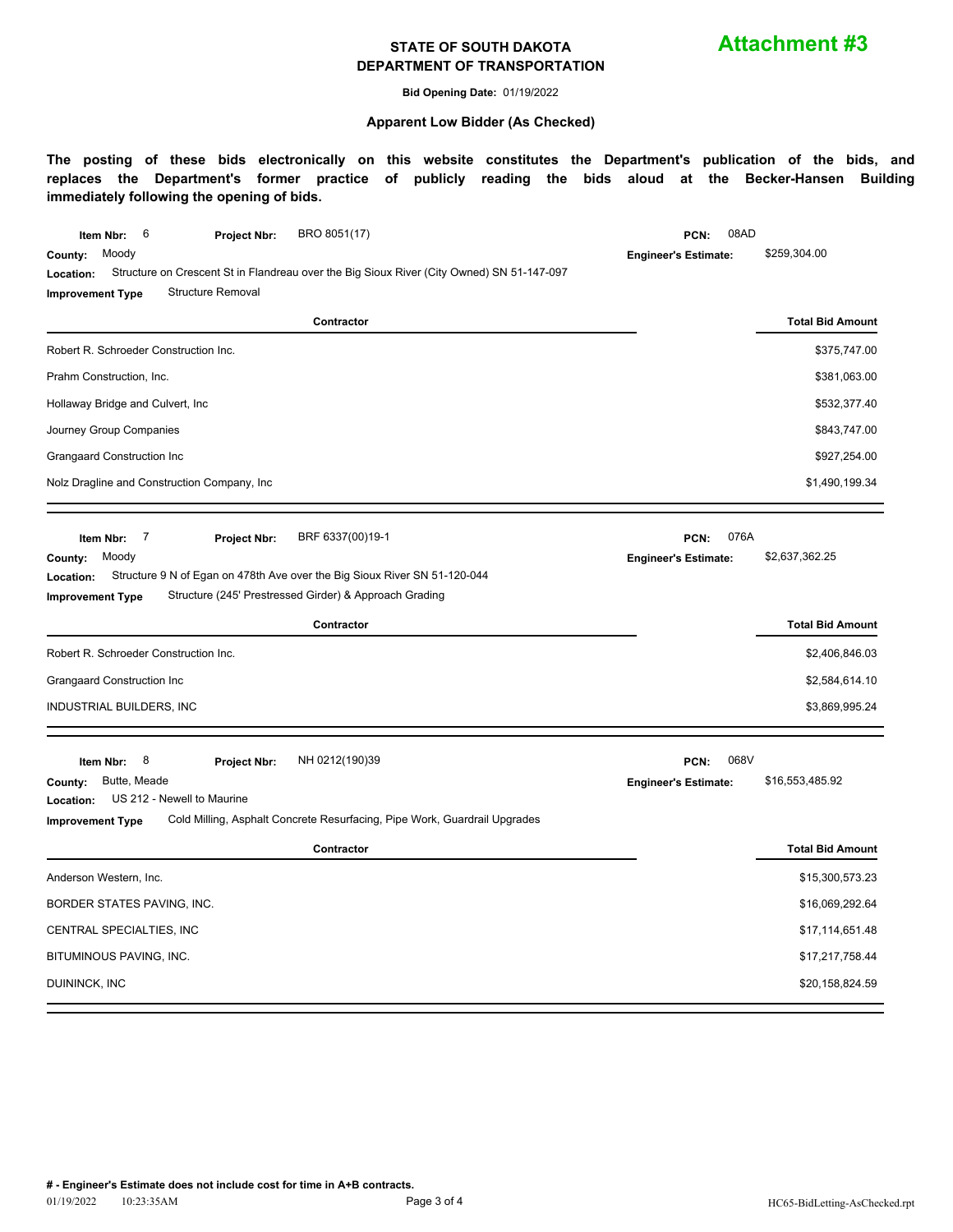**Attachment #3**

**Bid Opening Date:** 01/19/2022

#### **Apparent Low Bidder (As Checked)**

| 6<br>BRO 8051(17)<br>Item Nbr:<br><b>Project Nbr:</b>                                                                                                                                                                                                        | 08AD<br>PCN:                                |                         |
|--------------------------------------------------------------------------------------------------------------------------------------------------------------------------------------------------------------------------------------------------------------|---------------------------------------------|-------------------------|
| Moody<br>County:<br>Structure on Crescent St in Flandreau over the Big Sioux River (City Owned) SN 51-147-097<br>Location:                                                                                                                                   | <b>Engineer's Estimate:</b>                 | \$259,304.00            |
| <b>Structure Removal</b><br><b>Improvement Type</b>                                                                                                                                                                                                          |                                             |                         |
| Contractor                                                                                                                                                                                                                                                   |                                             | <b>Total Bid Amount</b> |
| Robert R. Schroeder Construction Inc.                                                                                                                                                                                                                        |                                             | \$375,747.00            |
| Prahm Construction, Inc.                                                                                                                                                                                                                                     |                                             | \$381,063.00            |
| Hollaway Bridge and Culvert, Inc                                                                                                                                                                                                                             |                                             | \$532,377.40            |
| Journey Group Companies                                                                                                                                                                                                                                      |                                             | \$843,747.00            |
| Grangaard Construction Inc                                                                                                                                                                                                                                   |                                             | \$927,254.00            |
| Nolz Dragline and Construction Company, Inc.                                                                                                                                                                                                                 |                                             | \$1,490,199.34          |
| 7<br>BRF 6337(00)19-1<br>Item Nbr:<br><b>Project Nbr:</b><br>Moody<br>County:<br>Structure 9 N of Egan on 478th Ave over the Big Sioux River SN 51-120-044<br>Location:<br>Structure (245' Prestressed Girder) & Approach Grading<br><b>Improvement Type</b> | 076A<br>PCN:<br><b>Engineer's Estimate:</b> | \$2,637,362.25          |
|                                                                                                                                                                                                                                                              |                                             |                         |
| Contractor                                                                                                                                                                                                                                                   |                                             | <b>Total Bid Amount</b> |
| Robert R. Schroeder Construction Inc.                                                                                                                                                                                                                        |                                             | \$2,406,846.03          |
| Grangaard Construction Inc                                                                                                                                                                                                                                   |                                             | \$2,584,614.10          |
| INDUSTRIAL BUILDERS, INC                                                                                                                                                                                                                                     |                                             | \$3,869,995.24          |
| 8<br>NH 0212(190)39<br>Item Nbr:<br>Project Nbr:                                                                                                                                                                                                             | 068V<br>PCN:                                |                         |
| Butte, Meade<br>County:<br>US 212 - Newell to Maurine<br>Location:<br>Cold Milling, Asphalt Concrete Resurfacing, Pipe Work, Guardrail Upgrades<br><b>Improvement Type</b>                                                                                   | <b>Engineer's Estimate:</b>                 | \$16,553,485.92         |
| Contractor                                                                                                                                                                                                                                                   |                                             | <b>Total Bid Amount</b> |
| Anderson Western, Inc.                                                                                                                                                                                                                                       |                                             | \$15,300,573.23         |
| BORDER STATES PAVING, INC.                                                                                                                                                                                                                                   |                                             | \$16,069,292.64         |
| CENTRAL SPECIALTIES, INC                                                                                                                                                                                                                                     |                                             | \$17,114,651.48         |
| BITUMINOUS PAVING, INC.                                                                                                                                                                                                                                      |                                             | \$17,217,758.44         |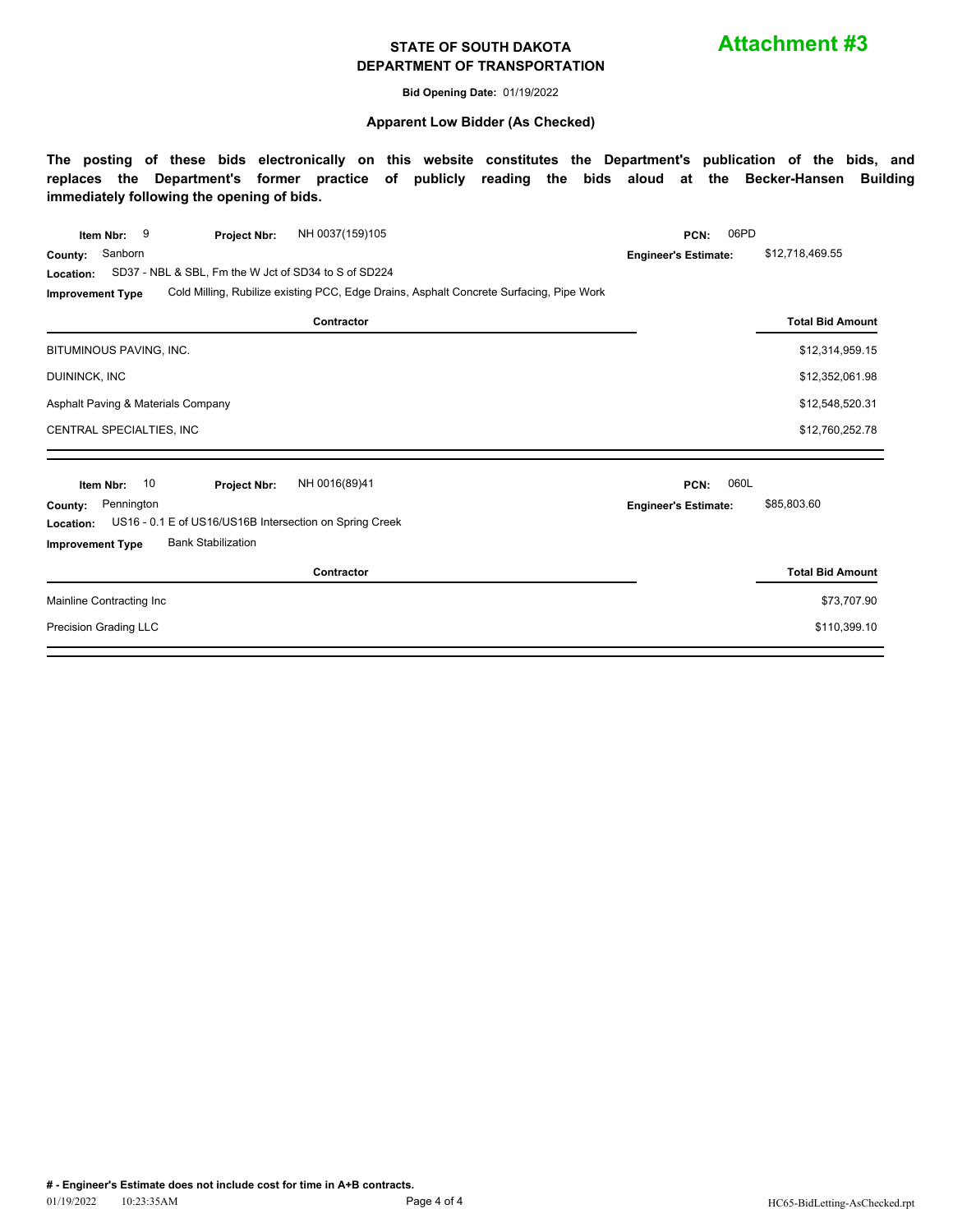**Attachment #3**

**Bid Opening Date:** 01/19/2022

#### **Apparent Low Bidder (As Checked)**

| NH 0037(159)105<br>9<br>Item Nbr:<br><b>Project Nbr:</b>                                                           | 06PD<br>PCN:                |                         |  |  |  |  |
|--------------------------------------------------------------------------------------------------------------------|-----------------------------|-------------------------|--|--|--|--|
| Sanborn<br>County:                                                                                                 | <b>Engineer's Estimate:</b> | \$12,718,469.55         |  |  |  |  |
| SD37 - NBL & SBL, Fm the W Jct of SD34 to S of SD224<br>Location:                                                  |                             |                         |  |  |  |  |
| Cold Milling, Rubilize existing PCC, Edge Drains, Asphalt Concrete Surfacing, Pipe Work<br><b>Improvement Type</b> |                             |                         |  |  |  |  |
| Contractor                                                                                                         |                             | <b>Total Bid Amount</b> |  |  |  |  |
| BITUMINOUS PAVING, INC.                                                                                            |                             | \$12,314,959.15         |  |  |  |  |
| DUININCK, INC                                                                                                      |                             | \$12,352,061.98         |  |  |  |  |
| Asphalt Paving & Materials Company                                                                                 |                             | \$12,548,520.31         |  |  |  |  |
| CENTRAL SPECIALTIES, INC                                                                                           |                             | \$12,760,252.78         |  |  |  |  |
|                                                                                                                    |                             |                         |  |  |  |  |
| NH 0016(89)41<br>10<br>Item Nbr:<br>Project Nbr:                                                                   | 060L<br>PCN:                |                         |  |  |  |  |
| Pennington<br>County:                                                                                              | <b>Engineer's Estimate:</b> | \$85,803.60             |  |  |  |  |
| US16 - 0.1 E of US16/US16B Intersection on Spring Creek<br>Location:                                               |                             |                         |  |  |  |  |
| <b>Bank Stabilization</b><br><b>Improvement Type</b>                                                               |                             |                         |  |  |  |  |
| Contractor                                                                                                         |                             | <b>Total Bid Amount</b> |  |  |  |  |
| Mainline Contracting Inc                                                                                           |                             | \$73,707.90             |  |  |  |  |
| Precision Grading LLC                                                                                              |                             | \$110,399.10            |  |  |  |  |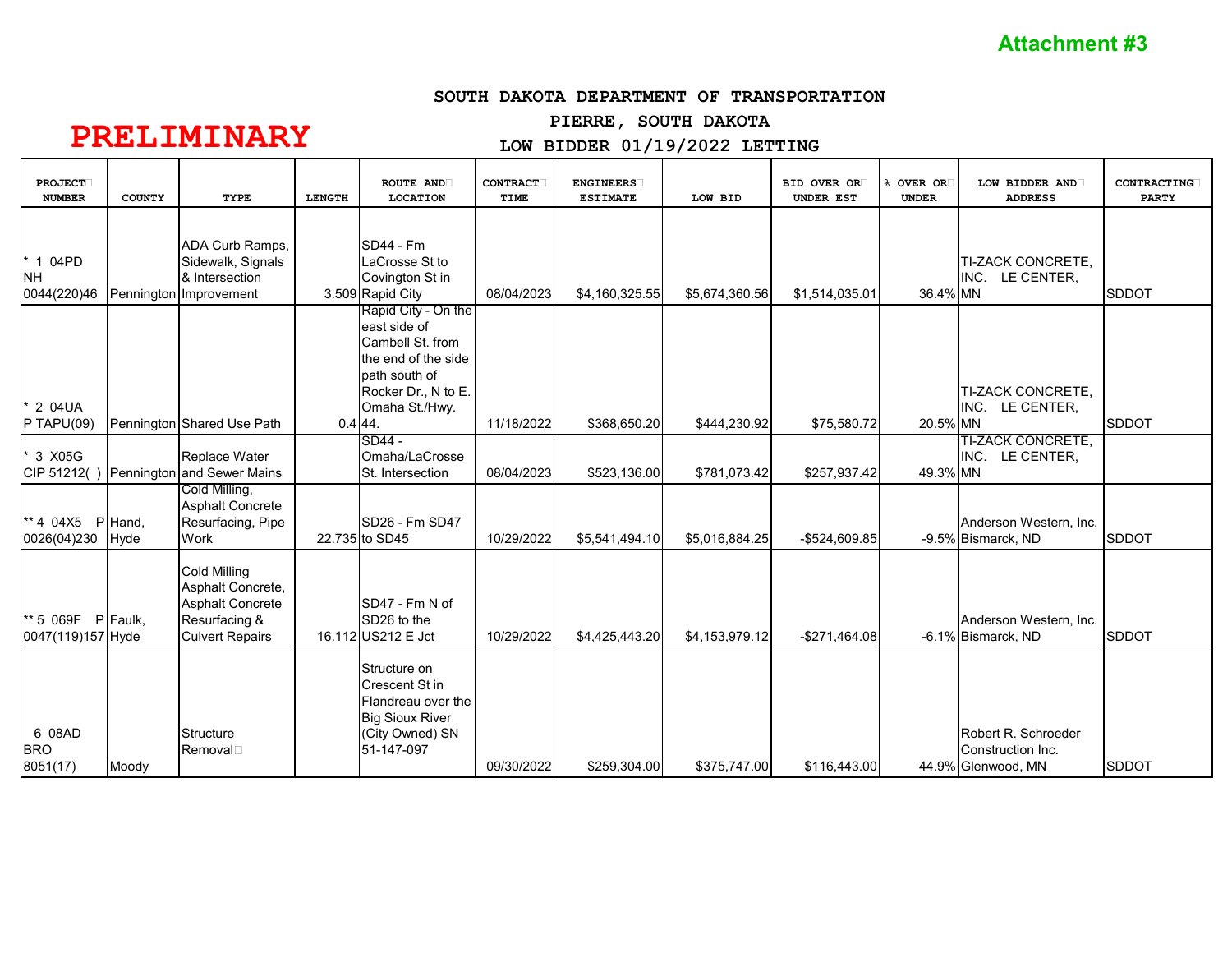#### **SOUTH DAKOTA DEPARTMENT OF TRANSPORTATION**

## **PIERRE, SOUTH DAKOTA**

## **PRELIMINARY**

## **LOW BIDDER 01/19/2022 LETTING**

| <b>PROJECT</b><br><b>NUMBER</b>      | <b>COUNTY</b>   | <b>TYPE</b>                                                                                                    | <b>LENGTH</b> | ROUTE AND<br><b>LOCATION</b>                                                                                                             | <b>CONTRACT</b><br>TIME | <b>ENGINEERS</b><br><b>ESTIMATE</b> | LOW BID        | <b>BID OVER OR</b><br>UNDER EST | OVER OR<br><b>UNDER</b> | LOW BIDDER AND<br><b>ADDRESS</b>                               | CONTRACTING<br><b>PARTY</b> |
|--------------------------------------|-----------------|----------------------------------------------------------------------------------------------------------------|---------------|------------------------------------------------------------------------------------------------------------------------------------------|-------------------------|-------------------------------------|----------------|---------------------------------|-------------------------|----------------------------------------------------------------|-----------------------------|
| * 1 04PD<br><b>NH</b><br>0044(220)46 |                 | ADA Curb Ramps,<br>Sidewalk, Signals<br>& Intersection<br>Pennington Improvement                               |               | SD44 - Fm<br>LaCrosse St to<br>Covington St in<br>3.509 Rapid City                                                                       | 08/04/2023              | \$4,160,325.55                      | \$5,674,360.56 | \$1,514,035.01                  | 36.4% MN                | TI-ZACK CONCRETE,<br>LE CENTER,<br>INC.                        | <b>SDDOT</b>                |
| * 2 04UA<br>$P$ TAPU(09)             |                 | Pennington Shared Use Path                                                                                     | 0.444         | Rapid City - On the<br>east side of<br>Cambell St. from<br>the end of the side<br>path south of<br>Rocker Dr., N to E.<br>Omaha St./Hwy. | 11/18/2022              | \$368,650.20                        | \$444,230.92   | \$75,580.72                     | 20.5% MN                | TI-ZACK CONCRETE,<br>INC. LE CENTER,                           | <b>SDDOT</b>                |
| 3 X05G<br>CIP 51212()                |                 | Replace Water<br>Pennington and Sewer Mains                                                                    |               | SD44 -<br>Omaha/LaCrosse<br>St. Intersection                                                                                             | 08/04/2023              | \$523,136.00                        | \$781.073.42   | \$257,937.42                    | 49.3% MN                | <b>TI-ZACK CONCRETE,</b><br>LE CENTER,<br>INC.                 |                             |
| ** 4 04X5<br>0026(04)230             | P Hand,<br>Hyde | Cold Milling,<br><b>Asphalt Concrete</b><br>Resurfacing, Pipe<br>Work                                          |               | SD26 - Fm SD47<br>22.735 to SD45                                                                                                         | 10/29/2022              | \$5,541,494.10                      | \$5,016,884.25 | -\$524,609.85                   |                         | Anderson Western, Inc.<br>-9.5% Bismarck, ND                   | <b>SDDOT</b>                |
| ** 5 069F<br>0047(119)157 Hyde       | P Faulk,        | <b>Cold Milling</b><br>Asphalt Concrete,<br><b>Asphalt Concrete</b><br>Resurfacing &<br><b>Culvert Repairs</b> |               | SD47 - Fm N of<br>SD <sub>26</sub> to the<br>16.112 US212 E Jct                                                                          | 10/29/2022              | \$4,425,443.20                      | \$4,153,979.12 | $-$271,464.08$                  |                         | Anderson Western, Inc.<br>-6.1% Bismarck, ND                   | <b>SDDOT</b>                |
| 6 08AD<br><b>BRO</b><br>8051(17)     | Moody           | <b>Structure</b><br>Removal                                                                                    |               | Structure on<br>Crescent St in<br>Flandreau over the<br><b>Big Sioux River</b><br>(City Owned) SN<br>51-147-097                          | 09/30/2022              | \$259,304.00                        | \$375,747.00   | \$116,443.00                    |                         | Robert R. Schroeder<br>Construction Inc.<br>44.9% Glenwood, MN | <b>SDDOT</b>                |